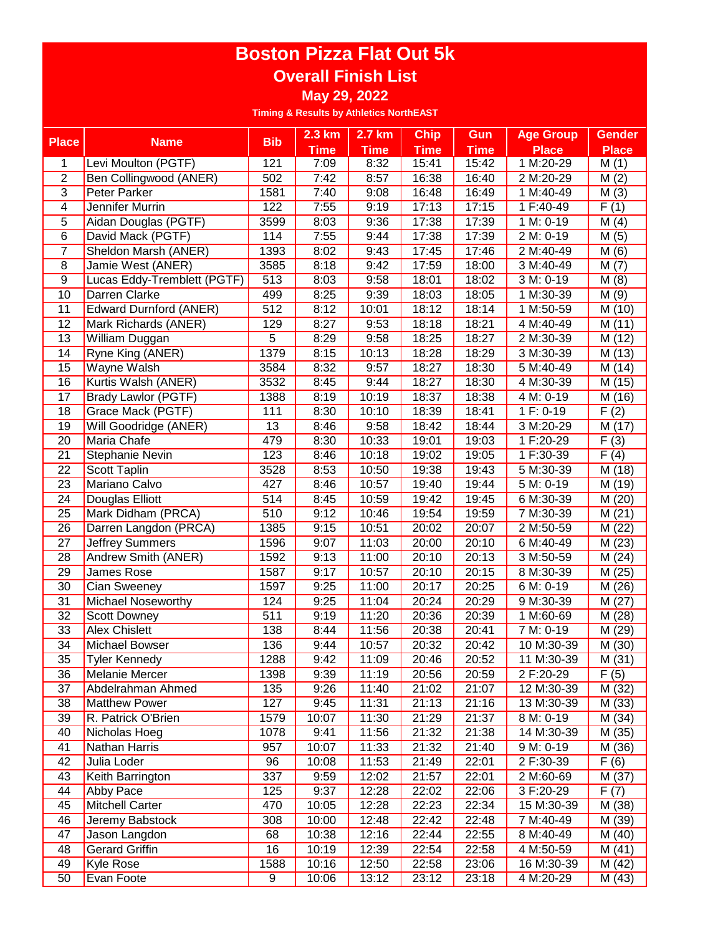## **Boston Pizza Flat Out 5k Overall Finish List May 29, 2022**

**Timing & Results by Athletics NorthEAST**

|                          |                                |            | $2.3$ km       | 2.7 km         | <b>Chip</b>    | Gun            | <b>Age Group</b>        | <b>Gender</b>     |
|--------------------------|--------------------------------|------------|----------------|----------------|----------------|----------------|-------------------------|-------------------|
| <b>Place</b>             | <b>Name</b>                    | <b>Bib</b> | <b>Time</b>    | <b>Time</b>    | <b>Time</b>    | <b>Time</b>    | <b>Place</b>            | <b>Place</b>      |
| 1                        | Levi Moulton (PGTF)            | 121        | 7:09           | 8:32           | 15:41          | 15:42          | 1 M:20-29               | M(1)              |
| $\overline{2}$           | Ben Collingwood (ANER)         | 502        | 7:42           | 8:57           | 16:38          | 16:40          | 2 M:20-29               | M(2)              |
| $\overline{3}$           | <b>Peter Parker</b>            | 1581       | 7:40           | 9:08           | 16:48          | 16:49          | 1 M:40-49               | M(3)              |
| $\overline{\mathcal{A}}$ | Jennifer Murrin                | 122        | 7:55           | 9:19           | 17:13          | 17:15          | 1 F:40-49               | F(1)              |
| 5                        | Aidan Douglas (PGTF)           | 3599       | 8:03           | 9:36           | 17:38          | 17:39          | 1 M: 0-19               | M(4)              |
| $\overline{6}$           | David Mack (PGTF)              | 114        | 7:55           | 9:44           | 17:38          | 17:39          | 2 M: 0-19               | M(5)              |
| $\overline{7}$           | Sheldon Marsh (ANER)           | 1393       | 8:02           | 9:43           | 17:45          | 17:46          | 2 M:40-49               | M(6)              |
| $\overline{8}$           | Jamie West (ANER)              | 3585       | 8:18           | 9:42           | 17:59          | 18:00          | 3 M:40-49               | M(7)              |
| $\overline{9}$           | Lucas Eddy-Tremblett (PGTF)    | 513        | 8:03           | 9:58           | 18:01          | 18:02          | 3 M: 0-19               | M(8)              |
| 10                       | Darren Clarke                  | 499        | 8:25           | 9:39           | 18:03          | 18:05          | 1 M:30-39               | M(9)              |
| 11                       | Edward Durnford (ANER)         | 512        | 8:12           | 10:01          | 18:12          | 18:14          | 1 M:50-59               | M (10)            |
| 12                       | Mark Richards (ANER)           | 129        | 8:27           | 9:53           | 18:18          | 18:21          | 4 M:40-49               | M(11)             |
| 13                       | William Duggan                 | 5          | 8:29           | 9:58           | 18:25          | 18:27          | 2 M:30-39               | (12)<br>М         |
| 14                       | Ryne King (ANER)               | 1379       | 8:15           | 10:13          | 18:28          | 18:29          | 3 M:30-39               | (13)<br>М         |
| 15                       | <b>Wayne Walsh</b>             | 3584       | 8:32           | 9:57           | 18:27          | 18:30          | 5 M:40-49               | (14)<br>М         |
| 16                       | Kurtis Walsh (ANER)            | 3532       | 8:45           | 9:44           | 18:27          | 18:30          | 4 M:30-39               | M<br>(15)         |
| 17                       | <b>Brady Lawlor (PGTF)</b>     | 1388       | 8:19           | 10:19          | 18:37          | 18:38          | 4 M: 0-19               | M (16)            |
| $\overline{18}$          | Grace Mack (PGTF)              | 111        | 8:30           | 10:10          | 18:39          | 18:41          | 1 F: 0-19               | $\overline{F(2)}$ |
| 19                       | Will Goodridge (ANER)          | 13         | 8:46           | 9:58           | 18:42          | 18:44          | 3 M:20-29               | M (17)            |
| 20                       | Maria Chafe                    | 479        | 8:30           | 10:33          | 19:01          | 19:03          | 1 F:20-29               | F<br>(3)          |
| $\overline{21}$          | Stephanie Nevin                | 123        | 8:46           | 10:18          | 19:02          | 19:05          | 1 F:30-39               | $\overline{F(4)}$ |
| $\overline{22}$          | <b>Scott Taplin</b>            | 3528       | 8:53           | 10:50          | 19:38          | 19:43          | 5 M:30-39               | M (18)            |
| $\overline{23}$          | Mariano Calvo                  | 427        | 8:46           | 10:57          | 19:40          | 19:44          | 5 M: 0-19               | M (19)            |
| 24                       | Douglas Elliott                | 514        | 8:45           | 10:59          | 19:42          | 19:45          | 6 M:30-39               | M (20)            |
| $\overline{25}$          | Mark Didham (PRCA)             | 510        | 9:12           | 10:46          | 19:54          | 19:59          | 7 M:30-39               | M(21)             |
| $\overline{26}$          | Darren Langdon (PRCA)          | 1385       | 9:15           | 10:51          | 20:02          | 20:07          | 2 M:50-59               | M(22)             |
| $\overline{27}$          | <b>Jeffrey Summers</b>         | 1596       | 9:07           | 11:03          | 20:00          | 20:10          | 6 M:40-49               | M(23)             |
| $\overline{28}$          | Andrew Smith (ANER)            | 1592       | 9:13           | 11:00          | 20:10          | 20:13          | 3 M:50-59               | M(24)             |
| 29                       | James Rose                     | 1587       | 9:17           | 10:57          | 20:10          | 20:15          | 8 M:30-39               | M (25)            |
| $\overline{30}$          | Cian Sweeney                   | 1597       | 9:25           | 11:00          | 20:17          | 20:25          | 6 M: 0-19               | M (26)            |
| $\overline{31}$          | Michael Noseworthy             | 124        | 9:25           | 11:04          | 20:24          | 20:29          | 9 M:30-39               | (27)<br>М         |
| $\overline{32}$          | Scott Downey                   | 511        | 9:19           | 11:20          | 20:36          | 20:39          | 1 M:60-69               | M (28)            |
| $\overline{33}$          | <b>Alex Chislett</b>           | 138        | 8:44           | 11:56          | 20:38          | 20:41          | 7 M: 0-19               | (29)<br>M         |
| $\overline{34}$          | Michael Bowser                 | 136        | 9:44           | 10:57          | 20:32          | 20:42          | 10 M:30-39              | M (30)            |
| 35                       | <b>Tyler Kennedy</b>           | 1288       | 9:42           | 11:09          | 20:46          | 20:52          | 11 M:30-39              | M(31)             |
| 36                       | <b>Melanie Mercer</b>          | 1398       | 9:39           | 11:19          | 20:56          | 20:59          | 2 F:20-29               | F(5)              |
| 37                       | Abdelrahman Ahmed              | 135        | 9:26           | 11:40          | 21:02          | 21:07          | 12 M:30-39              | M (32)            |
| 38                       | <b>Matthew Power</b>           | 127        | 9:45           | 11:31          | 21:13          | 21:16          | 13 M:30-39              | M (33)            |
| 39                       | R. Patrick O'Brien             | 1579       | 10:07          | 11:30          | 21:29          | 21:37          | 8 M: 0-19               | M (34)            |
| 40                       | Nicholas Hoeg                  | 1078       | 9:41           | 11:56          | 21:32          | 21:38          | 14 M:30-39              | M (35)            |
| 41                       | Nathan Harris                  | 957        | 10:07          | 11:33          | 21:32          | 21:40          | 9 M: 0-19               | M (36)            |
| 42                       | Julia Loder                    | 96         | 10:08          | 11:53          | 21:49          | 22:01          | 2 F:30-39               | F(6)              |
| 43                       | Keith Barrington               | 337        | 9:59           | 12:02          | 21:57          | 22:01          | 2 M:60-69               | M (37)            |
| 44                       | Abby Pace                      | 125        | 9:37           | 12:28          | 22:02          | 22:06          | 3 F:20-29               | F(7)              |
| 45                       | <b>Mitchell Carter</b>         | 470        | 10:05          | 12:28          | 22:23          | 22:34          | 15 M:30-39              | M (38)            |
| 46                       | Jeremy Babstock                | 308        | 10:00          | 12:48          | 22:42          | 22:48          | 7 M:40-49               | M (39)            |
| $\overline{47}$<br>48    | Jason Langdon                  | 68<br>16   | 10:38          | 12:16          | 22:44          | 22:55          | 8 M:40-49               | M (40)            |
|                          | <b>Gerard Griffin</b>          |            | 10:19          | 12:39<br>12:50 | 22:54<br>22:58 | 22:58          | 4 M:50-59               | M(41)             |
| 49<br>50                 | <b>Kyle Rose</b><br>Evan Foote | 1588<br>9  | 10:16<br>10:06 | 13:12          | 23:12          | 23:06<br>23:18 | 16 M:30-39<br>4 M:20-29 | M (42)<br>M (43)  |
|                          |                                |            |                |                |                |                |                         |                   |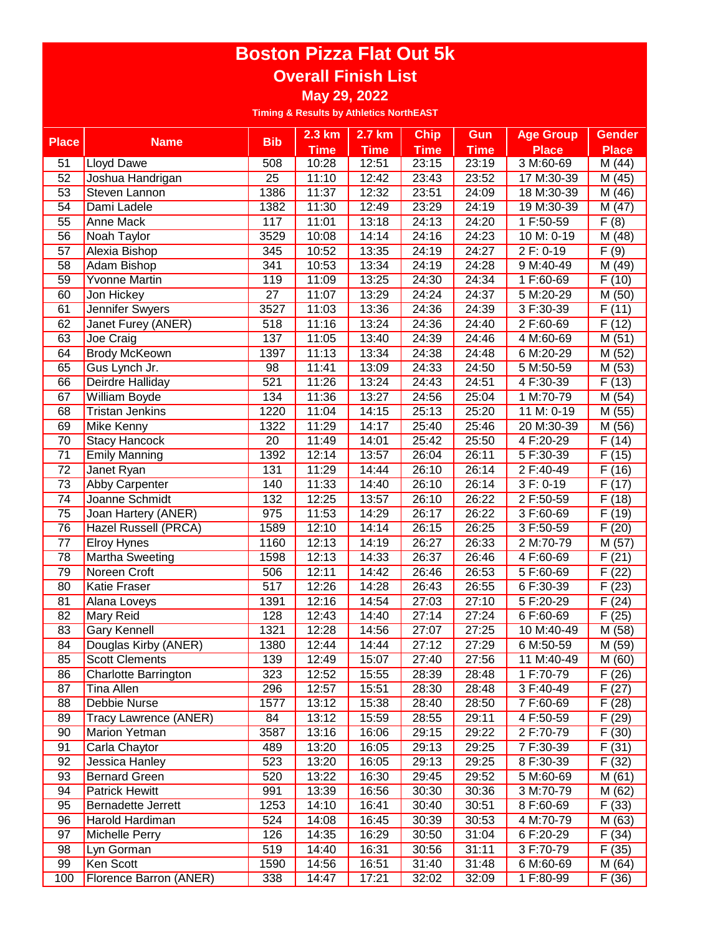## **Boston Pizza Flat Out 5k Overall Finish List**

**May 29, 2022**

**Timing & Results by Athletics NorthEAST**

|                 |                             | <b>Bib</b>      | $2.3$ km    | 2.7 km      | <b>Chip</b> | Gun         | <b>Age Group</b>       | <b>Gender</b>          |
|-----------------|-----------------------------|-----------------|-------------|-------------|-------------|-------------|------------------------|------------------------|
| <b>Place</b>    | <b>Name</b>                 |                 | <b>Time</b> | <b>Time</b> | <b>Time</b> | <b>Time</b> | <b>Place</b>           | <b>Place</b>           |
| 51              | <b>Lloyd Dawe</b>           | 508             | 10:28       | 12:51       | 23:15       | 23:19       | 3 M:60-69              | M (44)                 |
| $\overline{52}$ | Joshua Handrigan            | $\overline{25}$ | 11:10       | 12:42       | 23:43       | 23:52       | 17 M:30-39             | M (45)                 |
| $\overline{53}$ | Steven Lannon               | 1386            | 11:37       | 12:32       | 23:51       | 24:09       | 18 M:30-39             | M (46)                 |
| $\overline{54}$ | Dami Ladele                 | 1382            | 11:30       | 12:49       | 23:29       | 24:19       | 19 M:30-39             | M (47)                 |
| $\overline{55}$ | Anne Mack                   | 117             | 11:01       | 13:18       | 24:13       | 24:20       | 1 F:50-59              | F(8)                   |
| 56              | Noah Taylor                 | 3529            | 10:08       | 14:14       | 24:16       | 24:23       | 10 M: 0-19             | M (48)                 |
| 57              | Alexia Bishop               | 345             | 10:52       | 13:35       | 24:19       | 24:27       | 2 F: 0-19              | $\overline{F(9)}$      |
| 58              | Adam Bishop                 | 341             | 10:53       | 13:34       | 24:19       | 24:28       | 9 M:40-49              | M (49)                 |
| 59              | <b>Yvonne Martin</b>        | 119             | 11:09       | 13:25       | 24:30       | 24:34       | 1 F:60-69              | F(10)                  |
| 60              | Jon Hickey                  | $\overline{27}$ | 11:07       | 13:29       | 24:24       | 24:37       | 5 M:20-29              | M (50)                 |
| 61              | Jennifer Swyers             | 3527            | 11:03       | 13:36       | 24:36       | 24:39       | 3 F:30-39              | F(11)                  |
| 62              | Janet Furey (ANER)          | 518             | 11:16       | 13:24       | 24:36       | 24:40       | 2 F:60-69              | F<br>(12)              |
| 63              | Joe Craig                   | 137             | 11:05       | 13:40       | 24:39       | 24:46       | 4 M:60-69              | M(51)                  |
| 64              | <b>Brody McKeown</b>        | 1397            | 11:13       | 13:34       | 24:38       | 24:48       | 6 M:20-29              | M (52)                 |
| 65              | Gus Lynch Jr.               | 98              | 11:41       | 13:09       | 24:33       | 24:50       | $\overline{5}$ M:50-59 | M (53)                 |
| 66              | Deirdre Halliday            | 521             | 11:26       | 13:24       | 24:43       | 24:51       | 4 F:30-39              | F(13)                  |
| 67              | William Boyde               | 134             | 11:36       | 13:27       | 24:56       | 25:04       | 1 M:70-79              | (54)<br>M              |
| 68              | <b>Tristan Jenkins</b>      | 1220            | 11:04       | 14:15       | 25:13       | 25:20       | 11 M: 0-19             | (55)<br>M              |
| 69              | Mike Kenny                  | 1322            | 11:29       | 14:17       | 25:40       | 25:46       | 20 M:30-39             | M<br>(56)              |
| 70              | <b>Stacy Hancock</b>        | 20              | 11:49       | 14:01       | 25:42       | 25:50       | 4 F:20-29              | F<br>(14)              |
| $\overline{71}$ | <b>Emily Manning</b>        | 1392            | 12:14       | 13:57       | 26:04       | 26:11       | 5 F:30-39              | (15)<br>F              |
| $\overline{72}$ | Janet Ryan                  | 131             | 11:29       | 14:44       | 26:10       | 26:14       | 2 F:40-49              | F<br>(16)              |
| $\overline{73}$ | Abby Carpenter              | 140             | 11:33       | 14:40       | 26:10       | 26:14       | 3 F: 0-19              | F(17)                  |
| 74              | Joanne Schmidt              | 132             | 12:25       | 13:57       | 26:10       | 26:22       | 2 F:50-59              | F(18)                  |
| $\overline{75}$ | Joan Hartery (ANER)         | 975             | 11:53       | 14:29       | 26:17       | 26:22       | 3 F:60-69              | F(19)                  |
| $\overline{76}$ | Hazel Russell (PRCA)        | 1589            | 12:10       | 14:14       | 26:15       | 26:25       | 3 F:50-59              | F(20)                  |
| $\overline{77}$ | <b>Elroy Hynes</b>          | 1160            | 12:13       | 14:19       | 26:27       | 26:33       | 2 M:70-79              | M(57)                  |
| $\overline{78}$ | <b>Martha Sweeting</b>      | 1598            | 12:13       | 14:33       | 26:37       | 26:46       | 4 F:60-69              | F(21)                  |
| 79              | Noreen Croft                | 506             | 12:11       | 14:42       | 26:46       | 26:53       | 5 F:60-69              | $\overline{(22)}$<br>F |
| 80              | Katie Fraser                | 517             | 12:26       | 14:28       | 26:43       | 26:55       | 6 F:30-39              | (23)<br>F              |
| 81              | Alana Loveys                | 1391            | 12:16       | 14:54       | 27:03       | 27:10       | 5 F:20-29              | F(24)                  |
| 82              | Mary Reid                   | 128             | 12:43       | 14:40       | 27:14       | 27:24       | 6 F:60-69              | F(25)                  |
| 83              | <b>Gary Kennell</b>         | 1321            | 12:28       | 14:56       | 27:07       | 27:25       | 10 M:40-49             | M (58)                 |
| $\overline{84}$ | Douglas Kirby (ANER)        | 1380            | 12:44       | 14:44       | 27:12       | 27:29       | 6 M:50-59              | M (59)                 |
| 85              | <b>Scott Clements</b>       | 139             | 12:49       | 15:07       | 27:40       | 27:56       | 11 M:40-49             | M(60)                  |
| 86              | <b>Charlotte Barrington</b> | 323             | 12:52       | 15:55       | 28:39       | 28:48       | 1 F:70-79              | F(26)                  |
| 87              | <b>Tina Allen</b>           | 296             | 12:57       | 15:51       | 28:30       | 28:48       | 3 F:40-49              | F<br>(27)              |
| 88              | Debbie Nurse                | 1577            | 13:12       | 15:38       | 28:40       | 28:50       | 7 F:60-69              | F<br>(28)              |
| 89              | Tracy Lawrence (ANER)       | 84              | 13:12       | 15:59       | 28:55       | 29:11       | 4 F:50-59              | F(29)                  |
| 90              | <b>Marion Yetman</b>        | 3587            | 13:16       | 16:06       | 29:15       | 29:22       | 2 F:70-79              | $\overline{F}$ (30)    |
| 91              | Carla Chaytor               | 489             | 13:20       | 16:05       | 29:13       | 29:25       | 7 F:30-39              | F(31)                  |
| 92              | Jessica Hanley              | 523             | 13:20       | 16:05       | 29:13       | 29:25       | 8 F:30-39              | F(32)                  |
| 93              | <b>Bernard Green</b>        | 520             | 13:22       | 16:30       | 29:45       | 29:52       | 5 M:60-69              | $\overline{M}$ (61)    |
| 94              | <b>Patrick Hewitt</b>       | 991             | 13:39       | 16:56       | 30:30       | 30:36       | 3 M:70-79              | M (62)                 |
| 95              | <b>Bernadette Jerrett</b>   | 1253            | 14:10       | 16:41       | 30:40       | 30:51       | 8 F:60-69              | F(33)                  |
| 96              | Harold Hardiman             | 524             | 14:08       | 16:45       | 30:39       | 30:53       | 4 M:70-79              | M (63)                 |
| 97              | Michelle Perry              | 126             | 14:35       | 16:29       | 30:50       | 31:04       | 6 F:20-29              | F(34)                  |
| 98              | Lyn Gorman                  | 519             | 14:40       | 16:31       | 30:56       | 31:11       | 3 F:70-79              | F(35)                  |
| 99              | Ken Scott                   | 1590            | 14:56       | 16:51       | 31:40       | 31:48       | 6 M:60-69              | M(64)                  |
| 100             | Florence Barron (ANER)      | 338             | 14:47       | 17:21       | 32:02       | 32:09       | 1 F:80-99              | F(36)                  |